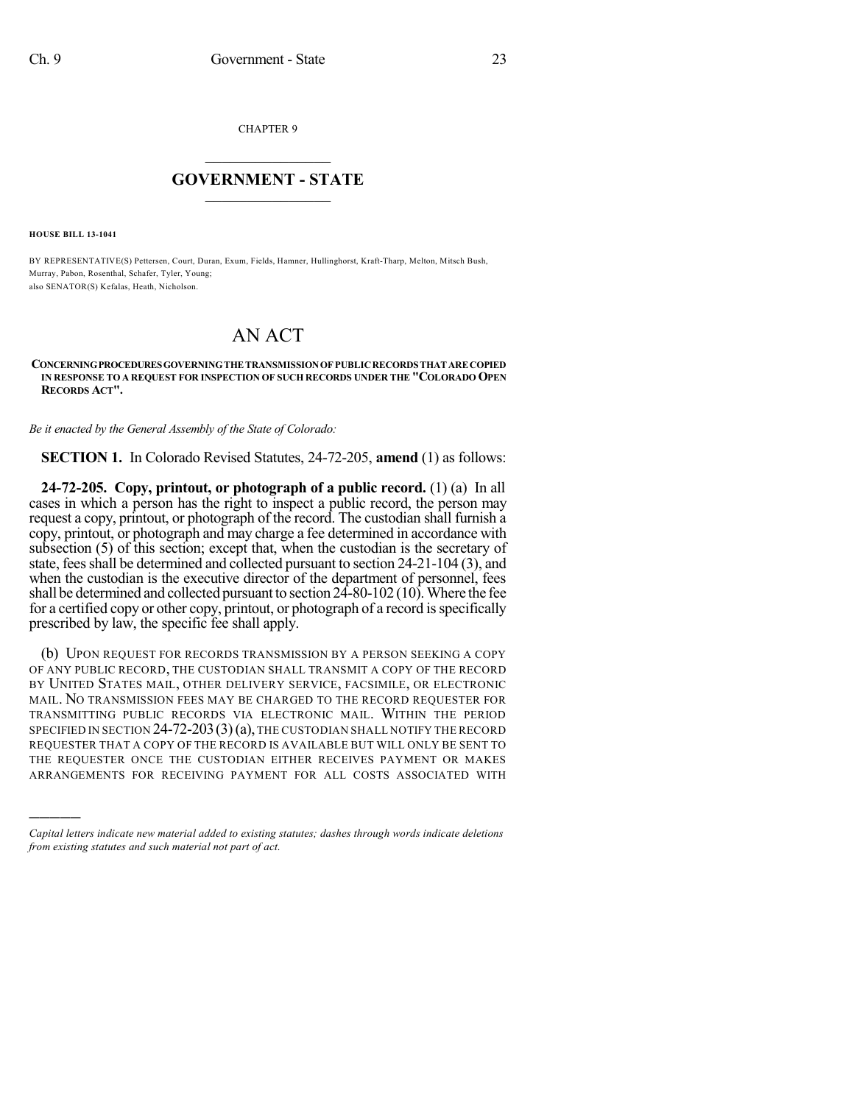CHAPTER 9

## $\mathcal{L}_\text{max}$  . The set of the set of the set of the set of the set of the set of the set of the set of the set of the set of the set of the set of the set of the set of the set of the set of the set of the set of the set **GOVERNMENT - STATE**  $\_$   $\_$

**HOUSE BILL 13-1041**

)))))

BY REPRESENTATIVE(S) Pettersen, Court, Duran, Exum, Fields, Hamner, Hullinghorst, Kraft-Tharp, Melton, Mitsch Bush, Murray, Pabon, Rosenthal, Schafer, Tyler, Young; also SENATOR(S) Kefalas, Heath, Nicholson.

## AN ACT

## **CONCERNINGPROCEDURESGOVERNINGTHE TRANSMISSIONOF PUBLICRECORDS THAT ARE COPIED IN RESPONSE TO A REQUEST FOR INSPECTION OF SUCH RECORDS UNDER THE "COLORADO OPEN RECORDS ACT".**

*Be it enacted by the General Assembly of the State of Colorado:*

**SECTION 1.** In Colorado Revised Statutes, 24-72-205, **amend** (1) as follows:

**24-72-205. Copy, printout, or photograph of a public record.** (1) (a) In all cases in which a person has the right to inspect a public record, the person may request a copy, printout, or photograph of the record. The custodian shall furnish a copy, printout, or photograph and may charge a fee determined in accordance with subsection (5) of this section; except that, when the custodian is the secretary of state, fees shall be determined and collected pursuant to section 24-21-104 (3), and when the custodian is the executive director of the department of personnel, fees shall be determined and collected pursuant to section  $24$ -80-102 (10). Where the fee for a certified copy or other copy, printout, or photograph of a record is specifically prescribed by law, the specific fee shall apply.

(b) UPON REQUEST FOR RECORDS TRANSMISSION BY A PERSON SEEKING A COPY OF ANY PUBLIC RECORD, THE CUSTODIAN SHALL TRANSMIT A COPY OF THE RECORD BY UNITED STATES MAIL, OTHER DELIVERY SERVICE, FACSIMILE, OR ELECTRONIC MAIL. NO TRANSMISSION FEES MAY BE CHARGED TO THE RECORD REQUESTER FOR TRANSMITTING PUBLIC RECORDS VIA ELECTRONIC MAIL. WITHIN THE PERIOD SPECIFIED IN SECTION  $24$ -72-203(3)(a), the custodian shall notify the record REQUESTER THAT A COPY OF THE RECORD IS AVAILABLE BUT WILL ONLY BE SENT TO THE REQUESTER ONCE THE CUSTODIAN EITHER RECEIVES PAYMENT OR MAKES ARRANGEMENTS FOR RECEIVING PAYMENT FOR ALL COSTS ASSOCIATED WITH

*Capital letters indicate new material added to existing statutes; dashes through words indicate deletions from existing statutes and such material not part of act.*